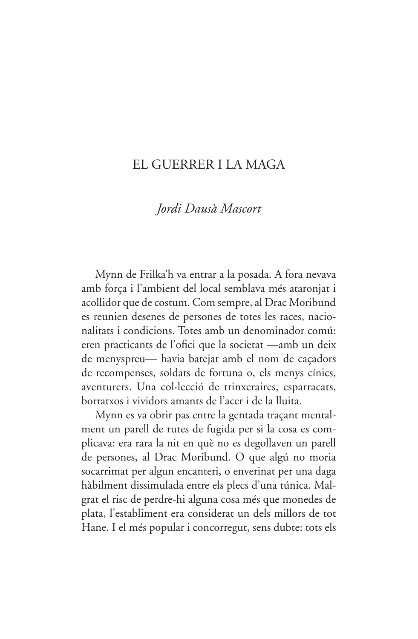## EL GUERRER LLA MAGA

## Jordi Dausà Mascort

Mynn de Frilka'h va entrar a la posada. A fora nevava amb força i l'ambient del local semblava més ataronjat i acollidor que de costum. Com sempre, al Drac Moribund es reunien desenes de persones de totes les races, nacionalitats i condicions. Totes amb un denominador comú: eren practicants de l'ofici que la societat —amb un deix de menyspreu- havia batejat amb el nom de caçadors de recompenses, soldats de fortuna o, els menys cínics, aventurers. Una col·lecció de trinxeraires, esparracats, borratxos i vividors amants de l'acer i de la lluita.

Mynn es va obrir pas entre la gentada traçant mentalment un parell de rutes de fugida per si la cosa es complicava: era rara la nit en què no es degollaven un parell de persones, al Drac Moribund. O que algú no moria socarrimat per algun encanteri, o enverinat per una daga hàbilment dissimulada entre els plecs d'una túnica. Malgrat el risc de perdre-hi alguna cosa més que monedes de plata, l'establiment era considerat un dels millors de tot Hane. I el més popular i concorregut, sens dubte: tots els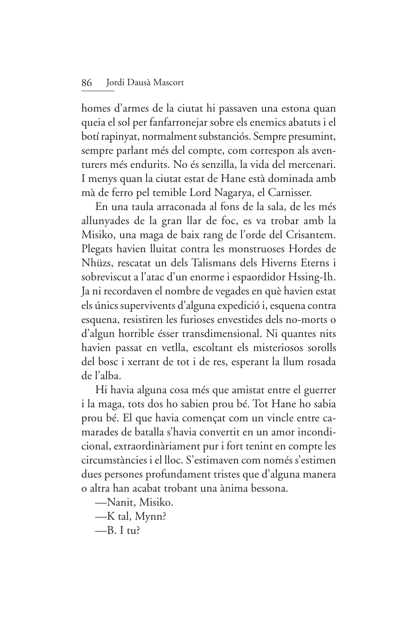homes d'armes de la ciutat hi passaven una estona quan queia el sol per fanfarronejar sobre els enemics abatuts i el botí rapinyat, normalment substanciós. Sempre presumint, sempre parlant més del compte, com correspon als aventurers més endurits. No és senzilla, la vida del mercenari. I menys quan la ciutat estat de Hane està dominada amb mà de ferro pel temible Lord Nagarya, el Carnisser.

En una taula arraconada al fons de la sala, de les més allunyades de la gran llar de foc, es va trobar amb la Misiko, una maga de baix rang de l'orde del Crisantem. Plegats havien lluitat contra les monstruoses Hordes de Nhüzs, rescatat un dels Talismans dels Hiverns Eterns i sobreviscut a l'atac d'un enorme i espaordidor Hssing-Ih. Ja ni recordaven el nombre de vegades en què havien estat els únics supervivents d'alguna expedició i, esquena contra esquena, resistiren les furioses envestides dels no-morts o d'algun horrible ésser transdimensional. Ni quantes nits havien passat en vetlla, escoltant els misteriosos sorolls del bosc i xerrant de tot i de res, esperant la llum rosada de l'alba.

Hi havia alguna cosa més que amistat entre el guerrer i la maga, tots dos ho sabien prou bé. Tot Hane ho sabia prou bé. El que havia començat com un vincle entre camarades de batalla s'havia convertit en un amor incondicional, extraordinàriament pur i fort tenint en compte les circumstàncies i el lloc. S'estimaven com només s'estimen dues persones profundament tristes que d'alguna manera o altra han acabat trobant una ànima bessona.

- -Nanit, Misiko.
- -K tal, Mynn?
- $-R$  I tu?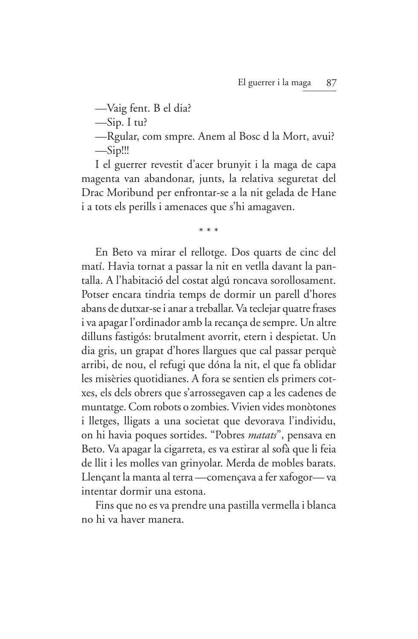—Vaig fent. B el dia?

 $\frac{-\text{Sip. I } \text{tu}}{2}$ 

-Reular, com smpre. Anem al Bosc d la Mort, avui?  $-Sip$ !!!

I el guerrer revestit d'acer brunyit i la maga de capa magenta van abandonar, junts, la relativa seguretat del Drac Moribund per enfrontar-se a la nit gelada de Hane i a tots els perills i amenaces que s'hi amagaven.

 $\star$   $\star$   $\star$ 

En Beto va mirar el rellotge. Dos quarts de cinc del matí. Havia tornat a passar la nit en vetlla davant la pantalla. A l'habitació del costat algú roncava sorollosament. Potser encara tindria temps de dormir un parell d'hores abans de dutxar-se i anar a treballar. Va teclejar quatre frases i va apagar l'ordinador amb la recança de sempre. Un altre dilluns fastigós: brutalment avorrit, etern i despietat. Un dia gris, un grapat d'hores llargues que cal passar perquè arribi, de nou, el refugi que dóna la nit, el que fa oblidar les misèries quotidianes. A fora se sentien els primers cotxes, els dels obrers que s'arrossegaven cap a les cadenes de muntatge. Com robots o zombies. Vivien vides monòtones i lletges, lligats a una societat que devorava l'individu, on hi havia poques sortides. "Pobres *matats*", pensava en Beto. Va apagar la cigarreta, es va estirar al sofà que li feia de llit i les molles van grinyolar. Merda de mobles barats. Llençant la manta al terra - començava a fer xafogor - va intentar dormir una estona.

Fins que no es va prendre una pastilla vermella i blanca no hi ya haver manera.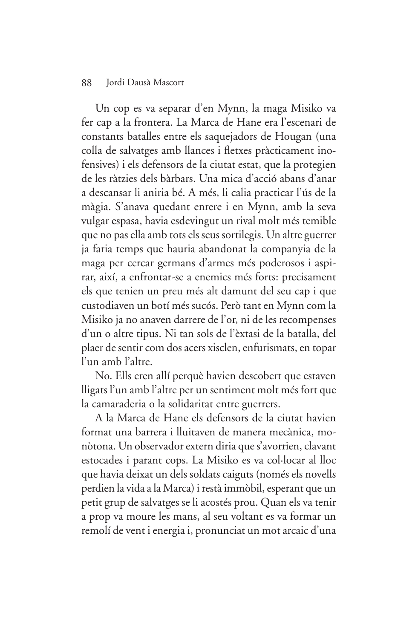## 88 Jordi Dausà Mascort

Un cop es va separar d'en Mynn, la maga Misiko va fer cap a la frontera. La Marca de Hane era l'escenari de constants batalles entre els saquejadors de Hougan (una colla de salvatges amb llances i fletxes pràcticament inofensives) i els defensors de la ciutat estat, que la protegien de les ràtzies dels bàrbars. Una mica d'acció abans d'anar a descansar li aniria bé. A més, li calia practicar l'ús de la màgia. S'anava quedant enrere i en Mynn, amb la seva vulgar espasa, havia esdevingut un rival molt més temible que no pas ella amb tots els seus sortilegis. Un altre guerrer ja faria temps que hauria abandonat la companyia de la maga per cercar germans d'armes més poderosos i aspirar, així, a enfrontar-se a enemics més forts: precisament els que tenien un preu més alt damunt del seu cap i que custodiaven un botí més sucós. Però tant en Mynn com la Misiko ja no anaven darrere de l'or, ni de les recompenses d'un o altre tipus. Ni tan sols de l'èxtasi de la batalla, del plaer de sentir com dos acers xisclen, enfurismats, en topar l'un amb l'altre.

No. Ells eren allí perquè havien descobert que estaven lligats l'un amb l'altre per un sentiment molt més fort que la camaraderia o la solidaritat entre guerrers.

A la Marca de Hane els defensors de la ciutat havien format una barrera i lluitaven de manera mecànica, monòtona. Un observador extern diria que s'avorrien, clavant estocades i parant cops. La Misiko es va col·locar al lloc que havia deixat un dels soldats caiguts (només els novells perdien la vida a la Marca) i restà immòbil, esperant que un petit grup de salvatges se li acostés prou. Quan els va tenir a prop va moure les mans, al seu voltant es va formar un remolí de vent i energia i, pronunciat un mot arcaic d'una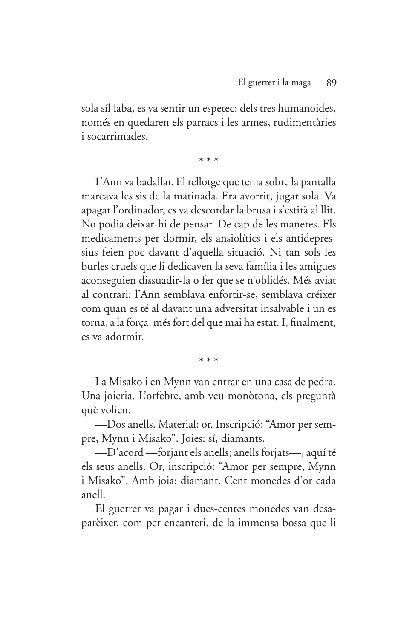sola síl·laba, es va sentir un espetec: dels tres humanoides, només en quedaren els parracs i les armes, rudimentàries i socarrimades

 $* * *$ 

L'Ann va badallar. El rellotge que tenia sobre la pantalla marcava les sis de la matinada. Era avorrit, jugar sola. Va apagar l'ordinador, es va descordar la brusa i s'estirà al llit. No podia deixar-hi de pensar. De cap de les maneres. Els medicaments per dormir, els ansiolítics i els antidepressius feien poc davant d'aquella situació. Ni tan sols les burles cruels que li dedicaven la seva família i les amigues aconseguien dissuadir-la o fer que se n'oblidés. Més aviat al contrari: l'Ann semblava enfortir-se, semblava créixer com quan es té al davant una adversitat insalvable i un es torna, a la força, més fort del que mai ha estat. I, finalment, es va adormir.

 $* * *$ 

La Misako i en Mynn van entrar en una casa de pedra. Una joieria. L'orfebre, amb veu monòtona, els preguntà què volien.

-Dos anells. Material: or. Inscripció: "Amor per sempre, Mynn i Misako". Joies: sí, diamants.

-D'acord -forjant els anells; anells forjats-, aquí té els seus anells. Or, inscripció: "Amor per sempre, Mynn i Misako". Amb joia: diamant. Cent monedes d'or cada anell.

El guerrer va pagar i dues-centes monedes van desaparèixer, com per encanteri, de la immensa bossa que li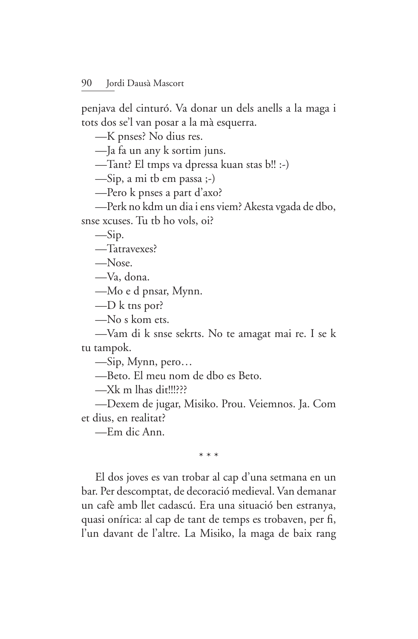penjava del cinturó. Va donar un dels anells a la maga i tots dos se'l van posar a la mà esquerra.

-K pnses? No dius res.

-Ja fa un any k sortim juns.

-Tant? El tmps va dpressa kuan stas b!! :-)

 $-\text{Sip}$ , a mi tb em passa ;-)

-Pero k pnses a part d'axo?

—Perk no kdm un dia i ens viem? Akesta vgada de dbo,

snse xcuses. Tu tb ho vols, oi?

 $-Sip.$ 

-Tatravexes?

 $-$ Nose

-Va, dona.

—Mo e d pnsar, Mynn.

 $-D k$  the por?

-No s kom ets.

-Vam di k snse sekrts. No te amagat mai re. I se k tu tampok.

 $\sim$ Sip, Mynn, pero...

-Beto. El meu nom de dbo es Beto.

 $-Xk$  m lhas dit!!!???

—Dexem de jugar, Misiko. Prou. Veiemnos. Ja. Com et dius, en realitat?

—Em dic Ann.

 $* * *$ 

El dos joves es van trobar al cap d'una setmana en un bar. Per descomptat, de decoració medieval. Van demanar un cafè amb llet cadascú. Era una situació ben estranya, quasi onírica: al cap de tant de temps es trobaven, per fi, l'un davant de l'altre. La Misiko, la maga de baix rang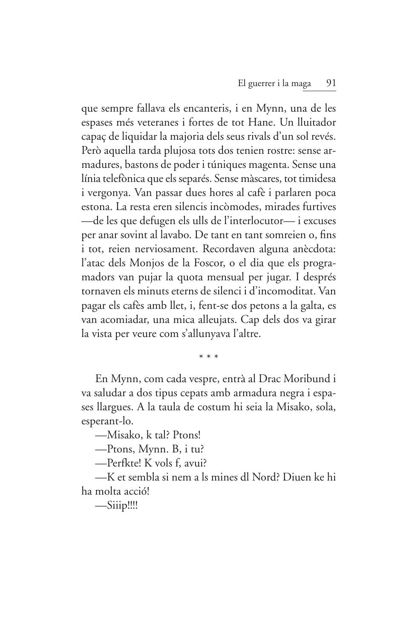que sempre fallava els encanteris, i en Mynn, una de les espases més veteranes i fortes de tot Hane. Un lluitador capaç de liquidar la majoria dels seus rivals d'un sol revés. Però aquella tarda plujosa tots dos tenien rostre: sense armadures, bastons de poder i túniques magenta. Sense una línia telefònica que els separés. Sense màscares, tot timidesa i vergonya. Van passar dues hores al cafè i parlaren poca estona. La resta eren silencis incòmodes, mirades furtives -de les que defugen els ulls de l'interlocutor- i excuses per anar sovint al lavabo. De tant en tant somreien o, fins i tot, reien nerviosament. Recordaven alguna anècdota: l'atac dels Monjos de la Foscor, o el dia que els programadors van pujar la quota mensual per jugar. I després tornaven els minuts eterns de silenci i d'incomoditat. Van pagar els cafès amb llet, i, fent-se dos petons a la galta, es van acomiadar, una mica alleujats. Cap dels dos va girar la vista per veure com s'allunyava l'altre.

 $* * *$ 

En Mynn, com cada vespre, entrà al Drac Moribund i va saludar a dos tipus cepats amb armadura negra i espases llargues. A la taula de costum hi seia la Misako, sola, esperant-lo.

-Misako, k tal? Ptons!

—Ptons, Mynn. B, i tu?

-Perfkte! K vols f, avui?

—K et sembla si nem a ls mines dl Nord? Diuen ke hi ha molta acció!

 $-Siiip$ !!!!